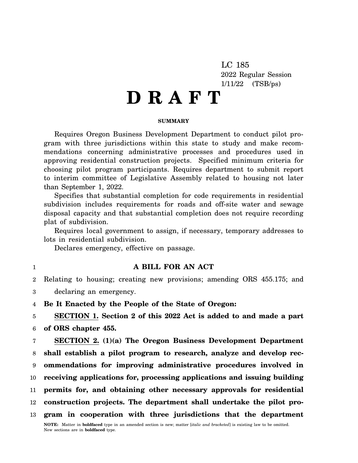LC 185 2022 Regular Session 1/11/22 (TSB/ps)

# **D R A F T**

### **SUMMARY**

Requires Oregon Business Development Department to conduct pilot program with three jurisdictions within this state to study and make recommendations concerning administrative processes and procedures used in approving residential construction projects. Specified minimum criteria for choosing pilot program participants. Requires department to submit report to interim committee of Legislative Assembly related to housing not later than September 1, 2022.

Specifies that substantial completion for code requirements in residential subdivision includes requirements for roads and off-site water and sewage disposal capacity and that substantial completion does not require recording plat of subdivision.

Requires local government to assign, if necessary, temporary addresses to lots in residential subdivision.

Declares emergency, effective on passage.

1

## **A BILL FOR AN ACT**

2 3 Relating to housing; creating new provisions; amending ORS 455.175; and declaring an emergency.

4 **Be It Enacted by the People of the State of Oregon:**

5 6 **SECTION 1. Section 2 of this 2022 Act is added to and made a part of ORS chapter 455.**

7 8 9 10 11 12 13 **SECTION 2. (1)(a) The Oregon Business Development Department shall establish a pilot program to research, analyze and develop recommendations for improving administrative procedures involved in receiving applications for, processing applications and issuing building permits for, and obtaining other necessary approvals for residential construction projects. The department shall undertake the pilot program in cooperation with three jurisdictions that the department**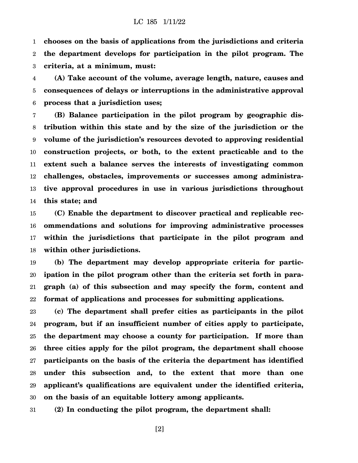1 2 3 **chooses on the basis of applications from the jurisdictions and criteria the department develops for participation in the pilot program. The criteria, at a minimum, must:**

4 5 6 **(A) Take account of the volume, average length, nature, causes and consequences of delays or interruptions in the administrative approval process that a jurisdiction uses;**

7 8 9 10 11 12 13 14 **(B) Balance participation in the pilot program by geographic distribution within this state and by the size of the jurisdiction or the volume of the jurisdiction's resources devoted to approving residential construction projects, or both, to the extent practicable and to the extent such a balance serves the interests of investigating common challenges, obstacles, improvements or successes among administrative approval procedures in use in various jurisdictions throughout this state; and**

15 16 17 18 **(C) Enable the department to discover practical and replicable recommendations and solutions for improving administrative processes within the jurisdictions that participate in the pilot program and within other jurisdictions.**

19 20 21 22 **(b) The department may develop appropriate criteria for participation in the pilot program other than the criteria set forth in paragraph (a) of this subsection and may specify the form, content and format of applications and processes for submitting applications.**

23 24 25 26 27 28 29 30 **(c) The department shall prefer cities as participants in the pilot program, but if an insufficient number of cities apply to participate, the department may choose a county for participation. If more than three cities apply for the pilot program, the department shall choose participants on the basis of the criteria the department has identified under this subsection and, to the extent that more than one applicant's qualifications are equivalent under the identified criteria, on the basis of an equitable lottery among applicants.**

31 **(2) In conducting the pilot program, the department shall:**

[2]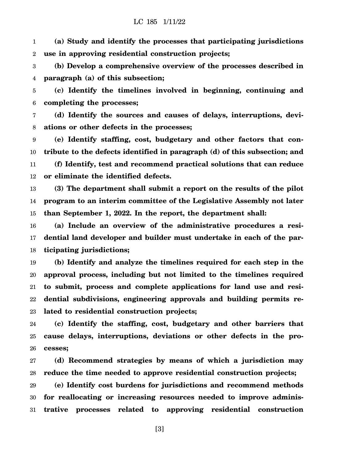## LC 185 1/11/22

1 2 **(a) Study and identify the processes that participating jurisdictions use in approving residential construction projects;**

3 4 **(b) Develop a comprehensive overview of the processes described in paragraph (a) of this subsection;**

5 6 **(c) Identify the timelines involved in beginning, continuing and completing the processes;**

7 8 **(d) Identify the sources and causes of delays, interruptions, deviations or other defects in the processes;**

9 10 11 12 **(e) Identify staffing, cost, budgetary and other factors that contribute to the defects identified in paragraph (d) of this subsection; and (f) Identify, test and recommend practical solutions that can reduce or eliminate the identified defects.**

13 14 15 **(3) The department shall submit a report on the results of the pilot program to an interim committee of the Legislative Assembly not later than September 1, 2022. In the report, the department shall:**

16 17 18 **(a) Include an overview of the administrative procedures a residential land developer and builder must undertake in each of the participating jurisdictions;**

19 20 21 22 23 **(b) Identify and analyze the timelines required for each step in the approval process, including but not limited to the timelines required to submit, process and complete applications for land use and residential subdivisions, engineering approvals and building permits related to residential construction projects;**

24 25 26 **(c) Identify the staffing, cost, budgetary and other barriers that cause delays, interruptions, deviations or other defects in the processes;**

27 28 **(d) Recommend strategies by means of which a jurisdiction may reduce the time needed to approve residential construction projects;**

29 30 31 **(e) Identify cost burdens for jurisdictions and recommend methods for reallocating or increasing resources needed to improve administrative processes related to approving residential construction**

[3]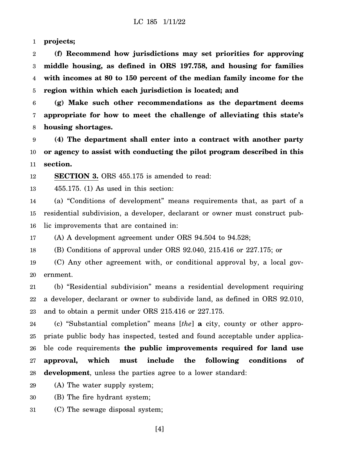1 **projects;**

2 3 4 5 **(f) Recommend how jurisdictions may set priorities for approving middle housing, as defined in ORS 197.758, and housing for families with incomes at 80 to 150 percent of the median family income for the region within which each jurisdiction is located; and**

6 7 8 **(g) Make such other recommendations as the department deems appropriate for how to meet the challenge of alleviating this state's housing shortages.**

9 10 11 **(4) The department shall enter into a contract with another party or agency to assist with conducting the pilot program described in this section.**

12 **SECTION 3.** ORS 455.175 is amended to read:

13 455.175. (1) As used in this section:

14 15 16 (a) "Conditions of development" means requirements that, as part of a residential subdivision, a developer, declarant or owner must construct public improvements that are contained in:

17 (A) A development agreement under ORS 94.504 to 94.528;

18 (B) Conditions of approval under ORS 92.040, 215.416 or 227.175; or

19 20 (C) Any other agreement with, or conditional approval by, a local government.

21 22 23 (b) "Residential subdivision" means a residential development requiring a developer, declarant or owner to subdivide land, as defined in ORS 92.010, and to obtain a permit under ORS 215.416 or 227.175.

24 25 26 27 28 (c) "Substantial completion" means [*the*] **a** city, county or other appropriate public body has inspected, tested and found acceptable under applicable code requirements **the public improvements required for land use approval, which must include the following conditions of development**, unless the parties agree to a lower standard:

29 (A) The water supply system;

30 (B) The fire hydrant system;

31 (C) The sewage disposal system;

[4]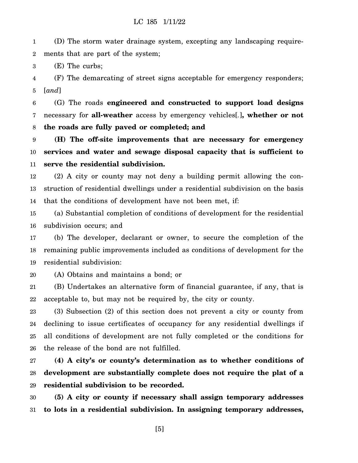## LC 185 1/11/22

1 2 (D) The storm water drainage system, excepting any landscaping requirements that are part of the system;

3 (E) The curbs;

4 5 (F) The demarcating of street signs acceptable for emergency responders; [*and*]

6 7 8 (G) The roads **engineered and constructed to support load designs** necessary for **all-weather** access by emergency vehicles[*.*]**, whether or not the roads are fully paved or completed; and**

9 10 11 **(H) The off-site improvements that are necessary for emergency services and water and sewage disposal capacity that is sufficient to serve the residential subdivision.**

12 13 14 (2) A city or county may not deny a building permit allowing the construction of residential dwellings under a residential subdivision on the basis that the conditions of development have not been met, if:

15 16 (a) Substantial completion of conditions of development for the residential subdivision occurs; and

17 18 19 (b) The developer, declarant or owner, to secure the completion of the remaining public improvements included as conditions of development for the residential subdivision:

20 (A) Obtains and maintains a bond; or

21 22 (B) Undertakes an alternative form of financial guarantee, if any, that is acceptable to, but may not be required by, the city or county.

23 24 25 26 (3) Subsection (2) of this section does not prevent a city or county from declining to issue certificates of occupancy for any residential dwellings if all conditions of development are not fully completed or the conditions for the release of the bond are not fulfilled.

27 28 29 **(4) A city's or county's determination as to whether conditions of development are substantially complete does not require the plat of a residential subdivision to be recorded.**

30 31 **(5) A city or county if necessary shall assign temporary addresses to lots in a residential subdivision. In assigning temporary addresses,**

[5]